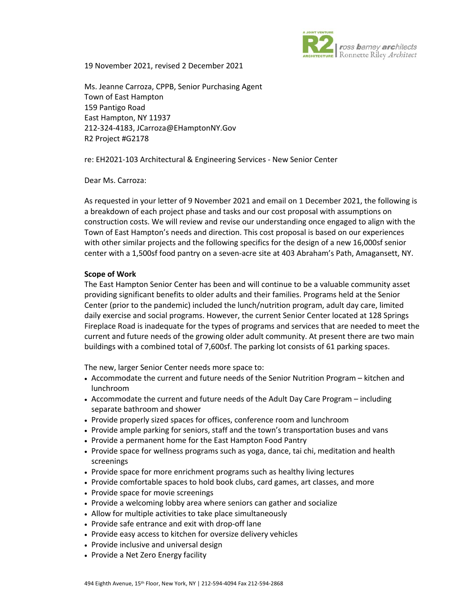

19 November 2021, revised 2 December 2021

Ms. Jeanne Carroza, CPPB, Senior Purchasing Agent Town of East Hampton 159 Pantigo Road East Hampton, NY 11937 212-324-4183, JCarroza@EHamptonNY.Gov R2 Project #G2178

re: EH2021-103 Architectural & Engineering Services - New Senior Center

Dear Ms. Carroza:

As requested in your letter of 9 November 2021 and email on 1 December 2021, the following is a breakdown of each project phase and tasks and our cost proposal with assumptions on construction costs. We will review and revise our understanding once engaged to align with the Town of East Hampton's needs and direction. This cost proposal is based on our experiences with other similar projects and the following specifics for the design of a new 16,000sf senior center with a 1,500sf food pantry on a seven-acre site at 403 Abraham's Path, Amagansett, NY.

## **Scope of Work**

The East Hampton Senior Center has been and will continue to be a valuable community asset providing significant benefits to older adults and their families. Programs held at the Senior Center (prior to the pandemic) included the lunch/nutrition program, adult day care, limited daily exercise and social programs. However, the current Senior Center located at 128 Springs Fireplace Road is inadequate for the types of programs and services that are needed to meet the current and future needs of the growing older adult community. At present there are two main buildings with a combined total of 7,600sf. The parking lot consists of 61 parking spaces.

The new, larger Senior Center needs more space to:

- Accommodate the current and future needs of the Senior Nutrition Program kitchen and lunchroom
- Accommodate the current and future needs of the Adult Day Care Program including separate bathroom and shower
- Provide properly sized spaces for offices, conference room and lunchroom
- Provide ample parking for seniors, staff and the town's transportation buses and vans
- Provide a permanent home for the East Hampton Food Pantry
- Provide space for wellness programs such as yoga, dance, tai chi, meditation and health screenings
- Provide space for more enrichment programs such as healthy living lectures
- Provide comfortable spaces to hold book clubs, card games, art classes, and more
- Provide space for movie screenings
- Provide a welcoming lobby area where seniors can gather and socialize
- Allow for multiple activities to take place simultaneously
- Provide safe entrance and exit with drop-off lane
- Provide easy access to kitchen for oversize delivery vehicles
- Provide inclusive and universal design
- Provide a Net Zero Energy facility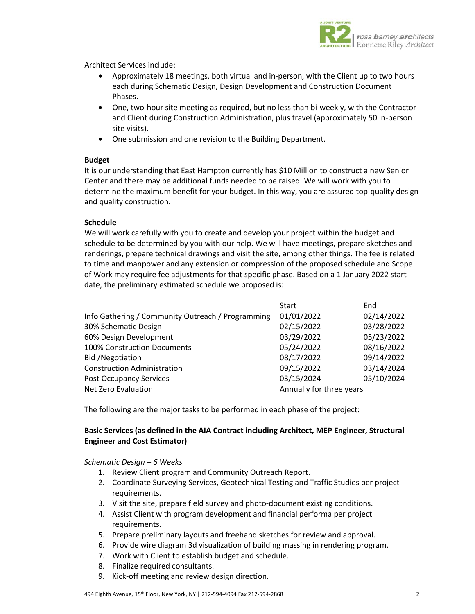

Architect Services include:

- Approximately 18 meetings, both virtual and in-person, with the Client up to two hours each during Schematic Design, Design Development and Construction Document Phases.
- One, two-hour site meeting as required, but no less than bi-weekly, with the Contractor and Client during Construction Administration, plus travel (approximately 50 in-person site visits).
- One submission and one revision to the Building Department.

# **Budget**

It is our understanding that East Hampton currently has \$10 Million to construct a new Senior Center and there may be additional funds needed to be raised. We will work with you to determine the maximum benefit for your budget. In this way, you are assured top-quality design and quality construction.

# **Schedule**

We will work carefully with you to create and develop your project within the budget and schedule to be determined by you with our help. We will have meetings, prepare sketches and renderings, prepare technical drawings and visit the site, among other things. The fee is related to time and manpower and any extension or compression of the proposed schedule and Scope of Work may require fee adjustments for that specific phase. Based on a 1 January 2022 start date, the preliminary estimated schedule we proposed is:

|                                                   | <b>Start</b>             | End        |
|---------------------------------------------------|--------------------------|------------|
| Info Gathering / Community Outreach / Programming | 01/01/2022               | 02/14/2022 |
| 30% Schematic Design                              | 02/15/2022               | 03/28/2022 |
| 60% Design Development                            | 03/29/2022               | 05/23/2022 |
| 100% Construction Documents                       | 05/24/2022               | 08/16/2022 |
| Bid / Negotiation                                 | 08/17/2022               | 09/14/2022 |
| <b>Construction Administration</b>                | 09/15/2022               | 03/14/2024 |
| <b>Post Occupancy Services</b>                    | 03/15/2024               | 05/10/2024 |
| Net Zero Evaluation                               | Annually for three years |            |

The following are the major tasks to be performed in each phase of the project:

# **Basic Services (as defined in the AIA Contract including Architect, MEP Engineer, Structural Engineer and Cost Estimator)**

### *Schematic Design – 6 Weeks*

- 1. Review Client program and Community Outreach Report.
- 2. Coordinate Surveying Services, Geotechnical Testing and Traffic Studies per project requirements.
- 3. Visit the site, prepare field survey and photo-document existing conditions.
- 4. Assist Client with program development and financial performa per project requirements.
- 5. Prepare preliminary layouts and freehand sketches for review and approval.
- 6. Provide wire diagram 3d visualization of building massing in rendering program.
- 7. Work with Client to establish budget and schedule.
- 8. Finalize required consultants.
- 9. Kick-off meeting and review design direction.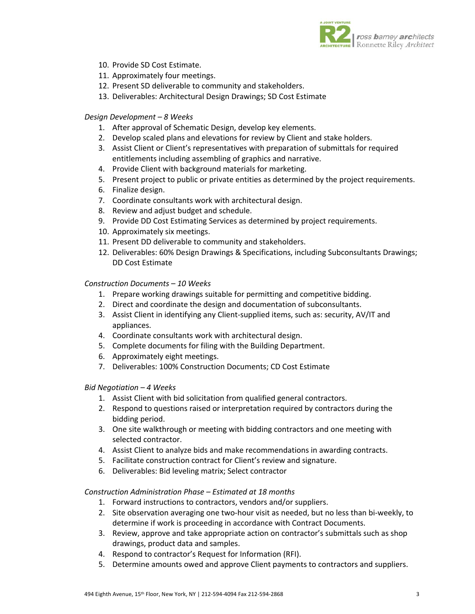

- 10. Provide SD Cost Estimate.
- 11. Approximately four meetings.
- 12. Present SD deliverable to community and stakeholders.
- 13. Deliverables: Architectural Design Drawings; SD Cost Estimate

### *Design Development – 8 Weeks*

- 1. After approval of Schematic Design, develop key elements.
- 2. Develop scaled plans and elevations for review by Client and stake holders.
- 3. Assist Client or Client's representatives with preparation of submittals for required entitlements including assembling of graphics and narrative.
- 4. Provide Client with background materials for marketing.
- 5. Present project to public or private entities as determined by the project requirements.
- 6. Finalize design.
- 7. Coordinate consultants work with architectural design.
- 8. Review and adjust budget and schedule.
- 9. Provide DD Cost Estimating Services as determined by project requirements.
- 10. Approximately six meetings.
- 11. Present DD deliverable to community and stakeholders.
- 12. Deliverables: 60% Design Drawings & Specifications, including Subconsultants Drawings; DD Cost Estimate

### *Construction Documents – 10 Weeks*

- 1. Prepare working drawings suitable for permitting and competitive bidding.
- 2. Direct and coordinate the design and documentation of subconsultants.
- 3. Assist Client in identifying any Client-supplied items, such as: security, AV/IT and appliances.
- 4. Coordinate consultants work with architectural design.
- 5. Complete documents for filing with the Building Department.
- 6. Approximately eight meetings.
- 7. Deliverables: 100% Construction Documents; CD Cost Estimate

### *Bid Negotiation – 4 Weeks*

- 1. Assist Client with bid solicitation from qualified general contractors.
- 2. Respond to questions raised or interpretation required by contractors during the bidding period.
- 3. One site walkthrough or meeting with bidding contractors and one meeting with selected contractor.
- 4. Assist Client to analyze bids and make recommendations in awarding contracts.
- 5. Facilitate construction contract for Client's review and signature.
- 6. Deliverables: Bid leveling matrix; Select contractor

### *Construction Administration Phase – Estimated at 18 months*

- 1. Forward instructions to contractors, vendors and/or suppliers.
- 2. Site observation averaging one two-hour visit as needed, but no less than bi-weekly, to determine if work is proceeding in accordance with Contract Documents.
- 3. Review, approve and take appropriate action on contractor's submittals such as shop drawings, product data and samples.
- 4. Respond to contractor's Request for Information (RFI).
- 5. Determine amounts owed and approve Client payments to contractors and suppliers.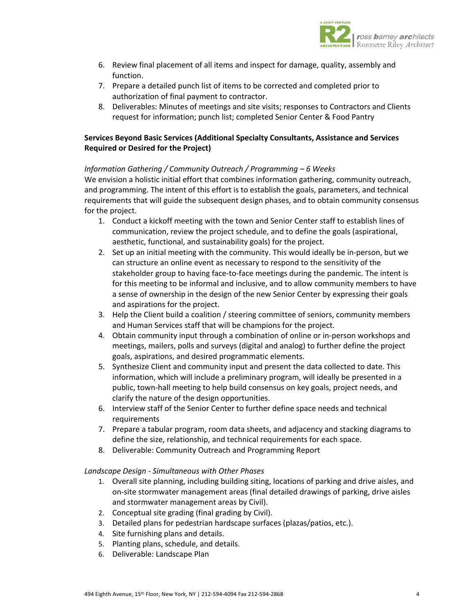

- 6. Review final placement of all items and inspect for damage, quality, assembly and function.
- 7. Prepare a detailed punch list of items to be corrected and completed prior to authorization of final payment to contractor.
- 8. Deliverables: Minutes of meetings and site visits; responses to Contractors and Clients request for information; punch list; completed Senior Center & Food Pantry

# **Services Beyond Basic Services (Additional Specialty Consultants, Assistance and Services Required or Desired for the Project)**

# *Information Gathering / Community Outreach / Programming – 6 Weeks*

We envision a holistic initial effort that combines information gathering, community outreach, and programming. The intent of this effort is to establish the goals, parameters, and technical requirements that will guide the subsequent design phases, and to obtain community consensus for the project.

- 1. Conduct a kickoff meeting with the town and Senior Center staff to establish lines of communication, review the project schedule, and to define the goals (aspirational, aesthetic, functional, and sustainability goals) for the project.
- 2. Set up an initial meeting with the community. This would ideally be in-person, but we can structure an online event as necessary to respond to the sensitivity of the stakeholder group to having face-to-face meetings during the pandemic. The intent is for this meeting to be informal and inclusive, and to allow community members to have a sense of ownership in the design of the new Senior Center by expressing their goals and aspirations for the project.
- 3. Help the Client build a coalition / steering committee of seniors, community members and Human Services staff that will be champions for the project.
- 4. Obtain community input through a combination of online or in-person workshops and meetings, mailers, polls and surveys (digital and analog) to further define the project goals, aspirations, and desired programmatic elements.
- 5. Synthesize Client and community input and present the data collected to date. This information, which will include a preliminary program, will ideally be presented in a public, town-hall meeting to help build consensus on key goals, project needs, and clarify the nature of the design opportunities.
- 6. Interview staff of the Senior Center to further define space needs and technical requirements
- 7. Prepare a tabular program, room data sheets, and adjacency and stacking diagrams to define the size, relationship, and technical requirements for each space.
- 8. Deliverable: Community Outreach and Programming Report

# *Landscape Design - Simultaneous with Other Phases*

- 1. Overall site planning, including building siting, locations of parking and drive aisles, and on-site stormwater management areas (final detailed drawings of parking, drive aisles and stormwater management areas by Civil).
- 2. Conceptual site grading (final grading by Civil).
- 3. Detailed plans for pedestrian hardscape surfaces (plazas/patios, etc.).
- 4. Site furnishing plans and details.
- 5. Planting plans, schedule, and details.
- 6. Deliverable: Landscape Plan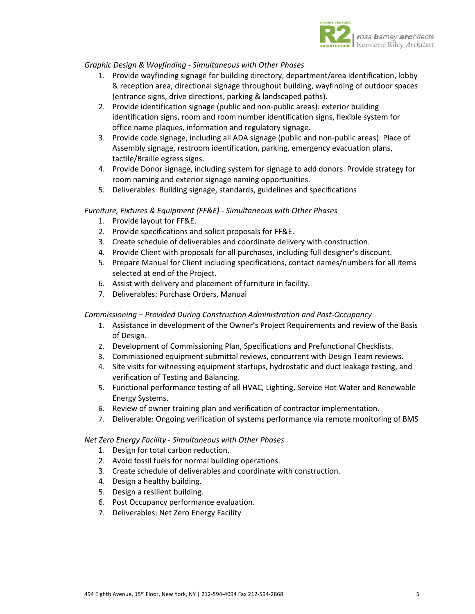

## *Graphic Design & Wayfinding - Simultaneous with Other Phases*

- 1. Provide wayfinding signage for building directory, department/area identification, lobby & reception area, directional signage throughout building, wayfinding of outdoor spaces (entrance signs, drive directions, parking & landscaped paths).
- 2. Provide identification signage (public and non-public areas): exterior building identification signs, room and room number identification signs, flexible system for office name plaques, information and regulatory signage.
- 3. Provide code signage, including all ADA signage (public and non-public areas): Place of Assembly signage, restroom identification, parking, emergency evacuation plans, tactile/Braille egress signs.
- 4. Provide Donor signage, including system for signage to add donors. Provide strategy for room naming and exterior signage naming opportunities.
- 5. Deliverables: Building signage, standards, guidelines and specifications

## *Furniture, Fixtures & Equipment (FF&E) - Simultaneous with Other Phases*

- 1. Provide layout for FF&E.
- 2. Provide specifications and solicit proposals for FF&E.
- 3. Create schedule of deliverables and coordinate delivery with construction.
- 4. Provide Client with proposals for all purchases, including full designer's discount.
- 5. Prepare Manual for Client including specifications, contact names/numbers for all items selected at end of the Project.
- 6. Assist with delivery and placement of furniture in facility.
- 7. Deliverables: Purchase Orders, Manual

# *Commissioning – Provided During Construction Administration and Post-Occupancy*

- 1. Assistance in development of the Owner's Project Requirements and review of the Basis of Design.
- 2. Development of Commissioning Plan, Specifications and Prefunctional Checklists.
- 3. Commissioned equipment submittal reviews, concurrent with Design Team reviews.
- 4. Site visits for witnessing equipment startups, hydrostatic and duct leakage testing, and verification of Testing and Balancing.
- 5. Functional performance testing of all HVAC, Lighting, Service Hot Water and Renewable Energy Systems.
- 6. Review of owner training plan and verification of contractor implementation.
- 7. Deliverable: Ongoing verification of systems performance via remote monitoring of BMS

### *Net Zero Energy Facility - Simultaneous with Other Phases*

- 1. Design for total carbon reduction.
- 2. Avoid fossil fuels for normal building operations.
- 3. Create schedule of deliverables and coordinate with construction.
- 4. Design a healthy building.
- 5. Design a resilient building.
- 6. Post Occupancy performance evaluation.
- 7. Deliverables: Net Zero Energy Facility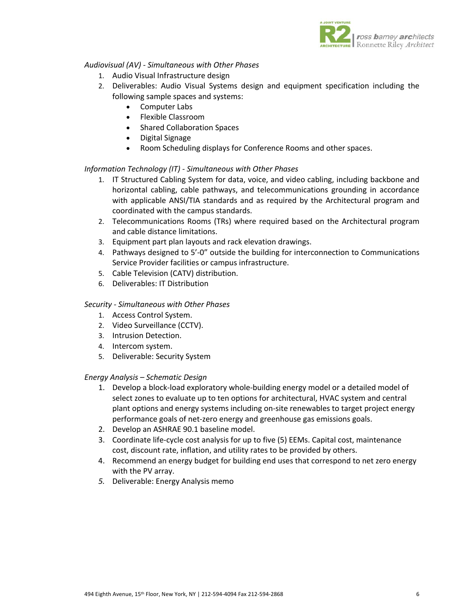

# *Audiovisual (AV) - Simultaneous with Other Phases*

- 1. Audio Visual Infrastructure design
- 2. Deliverables: Audio Visual Systems design and equipment specification including the following sample spaces and systems:
	- Computer Labs
	- Flexible Classroom
	- Shared Collaboration Spaces
	- Digital Signage
	- Room Scheduling displays for Conference Rooms and other spaces.

# *Information Technology (IT) - Simultaneous with Other Phases*

- 1. IT Structured Cabling System for data, voice, and video cabling, including backbone and horizontal cabling, cable pathways, and telecommunications grounding in accordance with applicable ANSI/TIA standards and as required by the Architectural program and coordinated with the campus standards.
- 2. Telecommunications Rooms (TRs) where required based on the Architectural program and cable distance limitations.
- 3. Equipment part plan layouts and rack elevation drawings.
- 4. Pathways designed to 5'-0" outside the building for interconnection to Communications Service Provider facilities or campus infrastructure.
- 5. Cable Television (CATV) distribution.
- 6. Deliverables: IT Distribution

# *Security - Simultaneous with Other Phases*

- 1. Access Control System.
- 2. Video Surveillance (CCTV).
- 3. Intrusion Detection.
- 4. Intercom system.
- 5. Deliverable: Security System

# *Energy Analysis – Schematic Design*

- 1. Develop a block-load exploratory whole-building energy model or a detailed model of select zones to evaluate up to ten options for architectural, HVAC system and central plant options and energy systems including on-site renewables to target project energy performance goals of net-zero energy and greenhouse gas emissions goals.
- 2. Develop an ASHRAE 90.1 baseline model.
- 3. Coordinate life-cycle cost analysis for up to five (5) EEMs. Capital cost, maintenance cost, discount rate, inflation, and utility rates to be provided by others.
- 4. Recommend an energy budget for building end uses that correspond to net zero energy with the PV array.
- *5.* Deliverable: Energy Analysis memo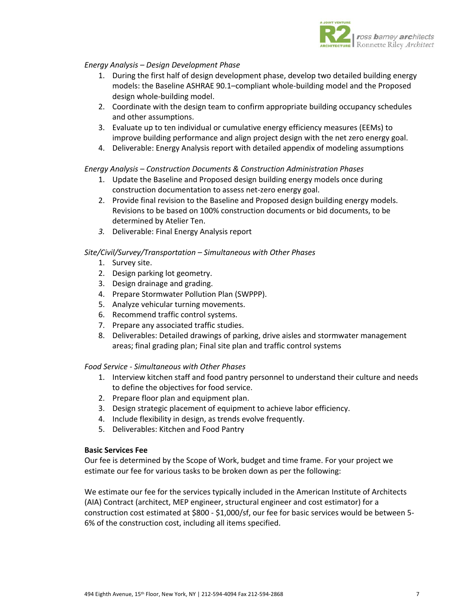

# *Energy Analysis – Design Development Phase*

- 1. During the first half of design development phase, develop two detailed building energy models: the Baseline ASHRAE 90.1–compliant whole-building model and the Proposed design whole-building model.
- 2. Coordinate with the design team to confirm appropriate building occupancy schedules and other assumptions.
- 3. Evaluate up to ten individual or cumulative energy efficiency measures (EEMs) to improve building performance and align project design with the net zero energy goal.
- 4. Deliverable: Energy Analysis report with detailed appendix of modeling assumptions

# *Energy Analysis – Construction Documents & Construction Administration Phases*

- 1. Update the Baseline and Proposed design building energy models once during construction documentation to assess net-zero energy goal.
- 2. Provide final revision to the Baseline and Proposed design building energy models. Revisions to be based on 100% construction documents or bid documents, to be determined by Atelier Ten.
- *3.* Deliverable: Final Energy Analysis report

## *Site/Civil/Survey/Transportation – Simultaneous with Other Phases*

- 1. Survey site.
- 2. Design parking lot geometry.
- 3. Design drainage and grading.
- 4. Prepare Stormwater Pollution Plan (SWPPP).
- 5. Analyze vehicular turning movements.
- 6. Recommend traffic control systems.
- 7. Prepare any associated traffic studies.
- 8. Deliverables: Detailed drawings of parking, drive aisles and stormwater management areas; final grading plan; Final site plan and traffic control systems

## *Food Service - Simultaneous with Other Phases*

- 1. Interview kitchen staff and food pantry personnel to understand their culture and needs to define the objectives for food service.
- 2. Prepare floor plan and equipment plan.
- 3. Design strategic placement of equipment to achieve labor efficiency.
- 4. Include flexibility in design, as trends evolve frequently.
- 5. Deliverables: Kitchen and Food Pantry

### **Basic Services Fee**

Our fee is determined by the Scope of Work, budget and time frame. For your project we estimate our fee for various tasks to be broken down as per the following:

We estimate our fee for the services typically included in the American Institute of Architects (AIA) Contract (architect, MEP engineer, structural engineer and cost estimator) for a construction cost estimated at \$800 - \$1,000/sf, our fee for basic services would be between 5- 6% of the construction cost, including all items specified.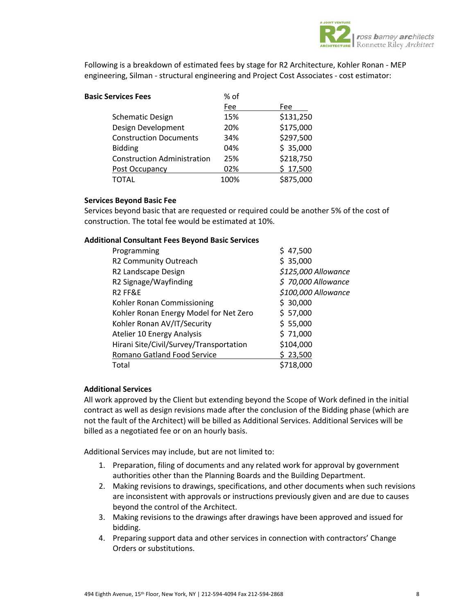

Following is a breakdown of estimated fees by stage for R2 Architecture, Kohler Ronan - MEP engineering, Silman - structural engineering and Project Cost Associates - cost estimator:

| <b>Basic Services Fees</b>         | % of |           |
|------------------------------------|------|-----------|
|                                    | Fee  | Fee       |
| <b>Schematic Design</b>            | 15%  | \$131,250 |
| Design Development                 | 20%  | \$175,000 |
| <b>Construction Documents</b>      | 34%  | \$297,500 |
| <b>Bidding</b>                     | 04%  | \$35,000  |
| <b>Construction Administration</b> | 25%  | \$218,750 |
| Post Occupancy                     | 02%  | \$17,500  |
| TOTAL                              | 100% | \$875,000 |

### **Services Beyond Basic Fee**

Services beyond basic that are requested or required could be another 5% of the cost of construction. The total fee would be estimated at 10%.

## **Additional Consultant Fees Beyond Basic Services**

| Programming                             | 47,500              |
|-----------------------------------------|---------------------|
| R2 Community Outreach                   | \$35,000            |
| R2 Landscape Design                     | \$125,000 Allowance |
| R2 Signage/Wayfinding                   | $$70,000$ Allowance |
| R <sub>2</sub> FF&E                     | \$100,000 Allowance |
| Kohler Ronan Commissioning              | \$30,000            |
| Kohler Ronan Energy Model for Net Zero  | \$57,000            |
| Kohler Ronan AV/IT/Security             | \$55,000            |
| Atelier 10 Energy Analysis              | \$71,000            |
| Hirani Site/Civil/Survey/Transportation | \$104,000           |
| Romano Gatland Food Service             | \$23,500            |
| Total                                   | \$718.000           |

# **Additional Services**

All work approved by the Client but extending beyond the Scope of Work defined in the initial contract as well as design revisions made after the conclusion of the Bidding phase (which are not the fault of the Architect) will be billed as Additional Services. Additional Services will be billed as a negotiated fee or on an hourly basis.

Additional Services may include, but are not limited to:

- 1. Preparation, filing of documents and any related work for approval by government authorities other than the Planning Boards and the Building Department.
- 2. Making revisions to drawings, specifications, and other documents when such revisions are inconsistent with approvals or instructions previously given and are due to causes beyond the control of the Architect.
- 3. Making revisions to the drawings after drawings have been approved and issued for bidding.
- 4. Preparing support data and other services in connection with contractors' Change Orders or substitutions.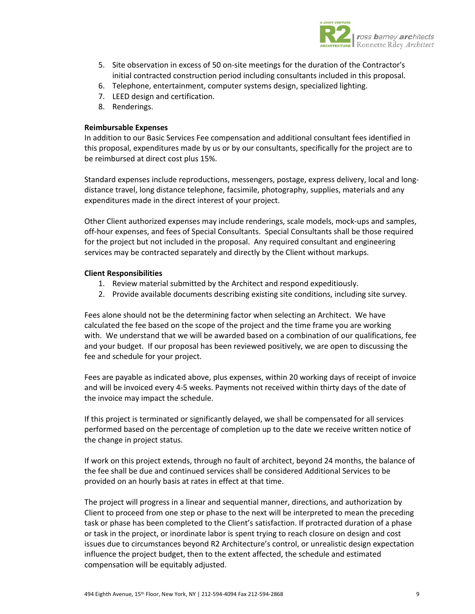

- 5. Site observation in excess of 50 on-site meetings for the duration of the Contractor's initial contracted construction period including consultants included in this proposal.
- 6. Telephone, entertainment, computer systems design, specialized lighting.
- 7. LEED design and certification.
- 8. Renderings.

### **Reimbursable Expenses**

In addition to our Basic Services Fee compensation and additional consultant fees identified in this proposal, expenditures made by us or by our consultants, specifically for the project are to be reimbursed at direct cost plus 15%.

Standard expenses include reproductions, messengers, postage, express delivery, local and longdistance travel, long distance telephone, facsimile, photography, supplies, materials and any expenditures made in the direct interest of your project.

Other Client authorized expenses may include renderings, scale models, mock-ups and samples, off-hour expenses, and fees of Special Consultants. Special Consultants shall be those required for the project but not included in the proposal. Any required consultant and engineering services may be contracted separately and directly by the Client without markups.

#### **Client Responsibilities**

- 1. Review material submitted by the Architect and respond expeditiously.
- 2. Provide available documents describing existing site conditions, including site survey.

Fees alone should not be the determining factor when selecting an Architect. We have calculated the fee based on the scope of the project and the time frame you are working with. We understand that we will be awarded based on a combination of our qualifications, fee and your budget. If our proposal has been reviewed positively, we are open to discussing the fee and schedule for your project.

Fees are payable as indicated above, plus expenses, within 20 working days of receipt of invoice and will be invoiced every 4-5 weeks. Payments not received within thirty days of the date of the invoice may impact the schedule.

If this project is terminated or significantly delayed, we shall be compensated for all services performed based on the percentage of completion up to the date we receive written notice of the change in project status.

If work on this project extends, through no fault of architect, beyond 24 months, the balance of the fee shall be due and continued services shall be considered Additional Services to be provided on an hourly basis at rates in effect at that time.

The project will progress in a linear and sequential manner, directions, and authorization by Client to proceed from one step or phase to the next will be interpreted to mean the preceding task or phase has been completed to the Client's satisfaction. If protracted duration of a phase or task in the project, or inordinate labor is spent trying to reach closure on design and cost issues due to circumstances beyond R2 Architecture's control, or unrealistic design expectation influence the project budget, then to the extent affected, the schedule and estimated compensation will be equitably adjusted.